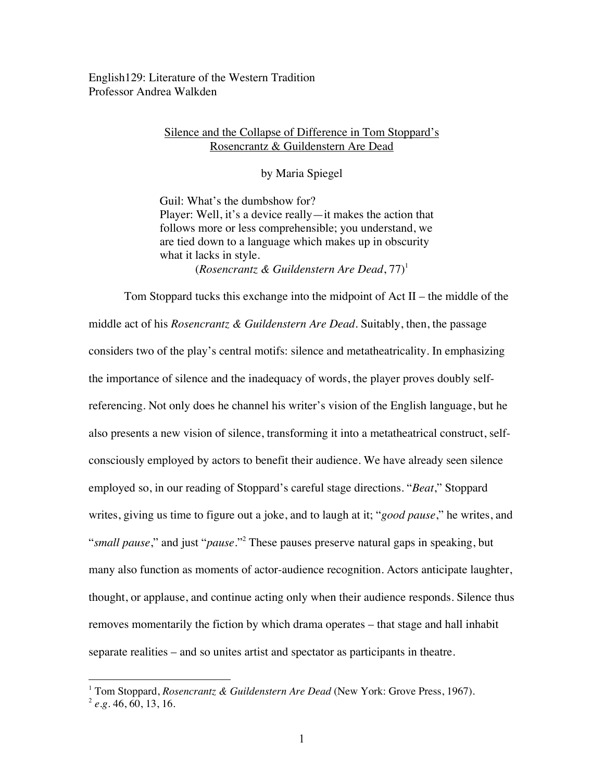English129: Literature of the Western Tradition Professor Andrea Walkden

## Silence and the Collapse of Difference in Tom Stoppard's Rosencrantz & Guildenstern Are Dead

by Maria Spiegel

Guil: What's the dumbshow for? Player: Well, it's a device really—it makes the action that follows more or less comprehensible; you understand, we are tied down to a language which makes up in obscurity what it lacks in style. (*Rosencrantz & Guildenstern Are Dead,*  $77$ )<sup>1</sup>

Tom Stoppard tucks this exchange into the midpoint of Act II – the middle of the middle act of his *Rosencrantz & Guildenstern Are Dead*. Suitably, then, the passage considers two of the play's central motifs: silence and metatheatricality. In emphasizing the importance of silence and the inadequacy of words, the player proves doubly selfreferencing. Not only does he channel his writer's vision of the English language, but he also presents a new vision of silence, transforming it into a metatheatrical construct, selfconsciously employed by actors to benefit their audience. We have already seen silence employed so, in our reading of Stoppard's careful stage directions. "*Beat*," Stoppard writes, giving us time to figure out a joke, and to laugh at it; "*good pause*," he writes, and "*small pause*," and just "*pause.*"2 These pauses preserve natural gaps in speaking, but many also function as moments of actor-audience recognition. Actors anticipate laughter, thought, or applause, and continue acting only when their audience responds. Silence thus removes momentarily the fiction by which drama operates – that stage and hall inhabit separate realities – and so unites artist and spectator as participants in theatre.

 $\overline{a}$ 

<sup>&</sup>lt;sup>1</sup> Tom Stoppard, *Rosencrantz & Guildenstern Are Dead* (New York: Grove Press, 1967).<br><sup>2</sup> *e.g.* 46, 60, 13, 16.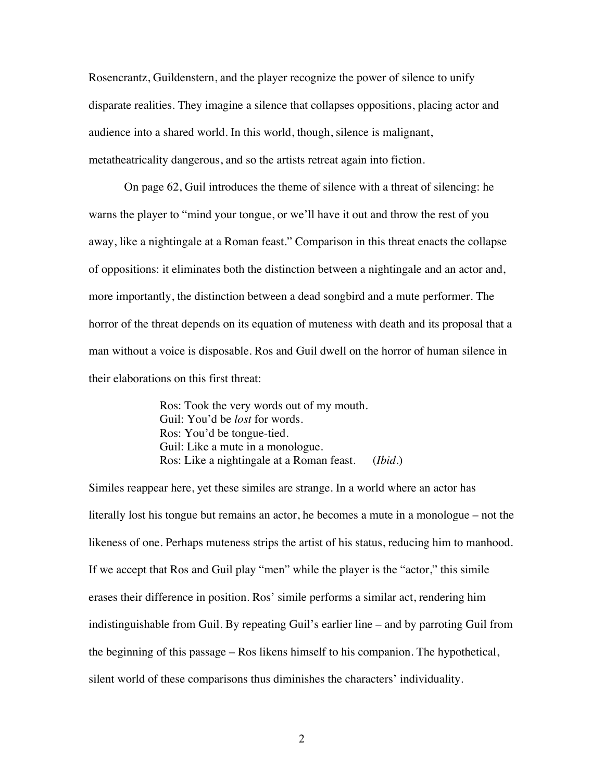Rosencrantz, Guildenstern, and the player recognize the power of silence to unify disparate realities. They imagine a silence that collapses oppositions, placing actor and audience into a shared world. In this world, though, silence is malignant, metatheatricality dangerous, and so the artists retreat again into fiction.

On page 62, Guil introduces the theme of silence with a threat of silencing: he warns the player to "mind your tongue, or we'll have it out and throw the rest of you away, like a nightingale at a Roman feast." Comparison in this threat enacts the collapse of oppositions: it eliminates both the distinction between a nightingale and an actor and, more importantly, the distinction between a dead songbird and a mute performer. The horror of the threat depends on its equation of muteness with death and its proposal that a man without a voice is disposable. Ros and Guil dwell on the horror of human silence in their elaborations on this first threat:

> Ros: Took the very words out of my mouth. Guil: You'd be *lost* for words. Ros: You'd be tongue-tied. Guil: Like a mute in a monologue. Ros: Like a nightingale at a Roman feast. (*Ibid.*)

Similes reappear here, yet these similes are strange. In a world where an actor has literally lost his tongue but remains an actor, he becomes a mute in a monologue – not the likeness of one. Perhaps muteness strips the artist of his status, reducing him to manhood. If we accept that Ros and Guil play "men" while the player is the "actor," this simile erases their difference in position. Ros' simile performs a similar act, rendering him indistinguishable from Guil. By repeating Guil's earlier line – and by parroting Guil from the beginning of this passage – Ros likens himself to his companion. The hypothetical, silent world of these comparisons thus diminishes the characters' individuality.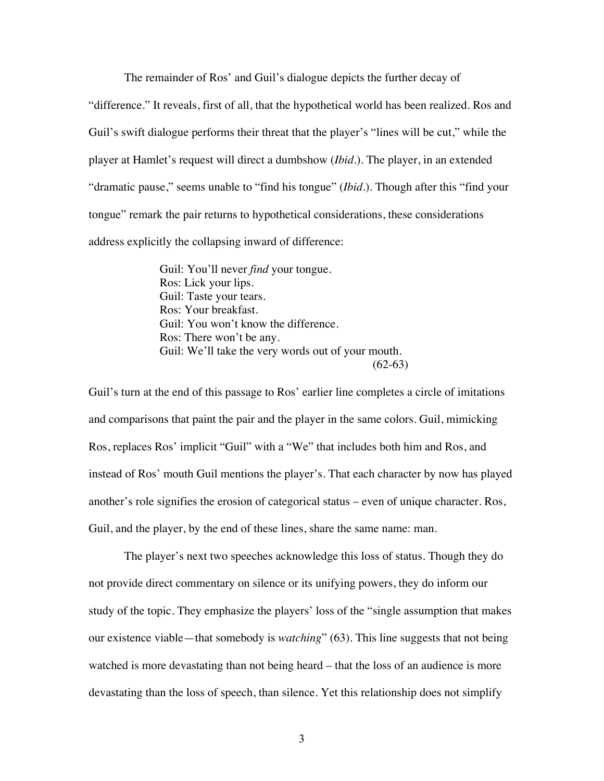The remainder of Ros' and Guil's dialogue depicts the further decay of "difference." It reveals, first of all, that the hypothetical world has been realized. Ros and Guil's swift dialogue performs their threat that the player's "lines will be cut," while the player at Hamlet's request will direct a dumbshow (*Ibid.*). The player, in an extended "dramatic pause," seems unable to "find his tongue" (*Ibid.*). Though after this "find your tongue" remark the pair returns to hypothetical considerations, these considerations address explicitly the collapsing inward of difference:

> Guil: You'll never *find* your tongue. Ros: Lick your lips. Guil: Taste your tears. Ros: Your breakfast. Guil: You won't know the difference. Ros: There won't be any. Guil: We'll take the very words out of your mouth.  $(62-63)$

Guil's turn at the end of this passage to Ros' earlier line completes a circle of imitations and comparisons that paint the pair and the player in the same colors. Guil, mimicking Ros, replaces Ros' implicit "Guil" with a "We" that includes both him and Ros, and instead of Ros' mouth Guil mentions the player's. That each character by now has played another's role signifies the erosion of categorical status – even of unique character. Ros, Guil, and the player, by the end of these lines, share the same name: man.

The player's next two speeches acknowledge this loss of status. Though they do not provide direct commentary on silence or its unifying powers, they do inform our study of the topic. They emphasize the players' loss of the "single assumption that makes our existence viable—that somebody is *watching*" (63). This line suggests that not being watched is more devastating than not being heard – that the loss of an audience is more devastating than the loss of speech, than silence. Yet this relationship does not simplify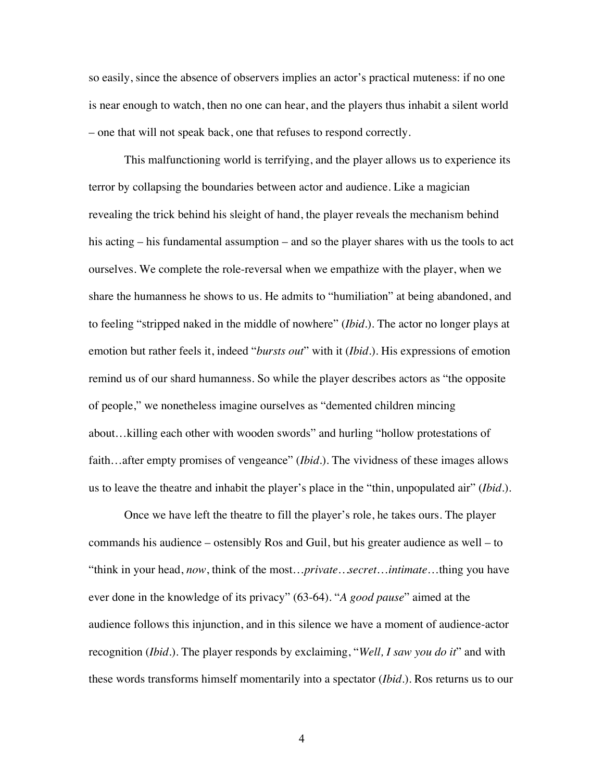so easily, since the absence of observers implies an actor's practical muteness: if no one is near enough to watch, then no one can hear, and the players thus inhabit a silent world – one that will not speak back, one that refuses to respond correctly.

This malfunctioning world is terrifying, and the player allows us to experience its terror by collapsing the boundaries between actor and audience. Like a magician revealing the trick behind his sleight of hand, the player reveals the mechanism behind his acting – his fundamental assumption – and so the player shares with us the tools to act ourselves. We complete the role-reversal when we empathize with the player, when we share the humanness he shows to us. He admits to "humiliation" at being abandoned, and to feeling "stripped naked in the middle of nowhere" (*Ibid.*). The actor no longer plays at emotion but rather feels it, indeed "*bursts out*" with it (*Ibid.*). His expressions of emotion remind us of our shard humanness. So while the player describes actors as "the opposite of people," we nonetheless imagine ourselves as "demented children mincing about…killing each other with wooden swords" and hurling "hollow protestations of faith...after empty promises of vengeance" (*Ibid.*). The vividness of these images allows us to leave the theatre and inhabit the player's place in the "thin, unpopulated air" (*Ibid.*).

Once we have left the theatre to fill the player's role, he takes ours. The player commands his audience – ostensibly Ros and Guil, but his greater audience as well – to "think in your head, *now*, think of the most…*private…secret*…*intimate*…thing you have ever done in the knowledge of its privacy" (63-64). "*A good pause*" aimed at the audience follows this injunction, and in this silence we have a moment of audience-actor recognition (*Ibid.*). The player responds by exclaiming, "*Well, I saw you do it*" and with these words transforms himself momentarily into a spectator (*Ibid.*). Ros returns us to our

4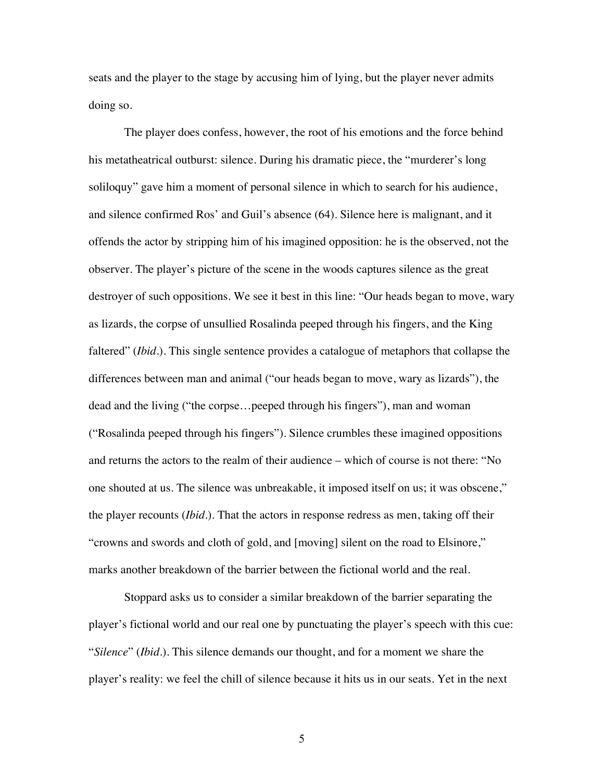seats and the player to the stage by accusing him of lying, but the player never admits doing so.

The player does confess, however, the root of his emotions and the force behind his metatheatrical outburst: silence. During his dramatic piece, the "murderer's long soliloquy" gave him a moment of personal silence in which to search for his audience, and silence confirmed Ros' and Guil's absence (64). Silence here is malignant, and it offends the actor by stripping him of his imagined opposition: he is the observed, not the observer. The player's picture of the scene in the woods captures silence as the great destroyer of such oppositions. We see it best in this line: "Our heads began to move, wary as lizards, the corpse of unsullied Rosalinda peeped through his fingers, and the King faltered" (*Ibid.*). This single sentence provides a catalogue of metaphors that collapse the differences between man and animal ("our heads began to move, wary as lizards"), the dead and the living ("the corpse…peeped through his fingers"), man and woman ("Rosalinda peeped through his fingers"). Silence crumbles these imagined oppositions and returns the actors to the realm of their audience – which of course is not there: "No one shouted at us. The silence was unbreakable, it imposed itself on us; it was obscene," the player recounts (*Ibid.*). That the actors in response redress as men, taking off their "crowns and swords and cloth of gold, and [moving] silent on the road to Elsinore," marks another breakdown of the barrier between the fictional world and the real.

Stoppard asks us to consider a similar breakdown of the barrier separating the player's fictional world and our real one by punctuating the player's speech with this cue: "*Silence*" (*Ibid.*). This silence demands our thought, and for a moment we share the player's reality: we feel the chill of silence because it hits us in our seats. Yet in the next

5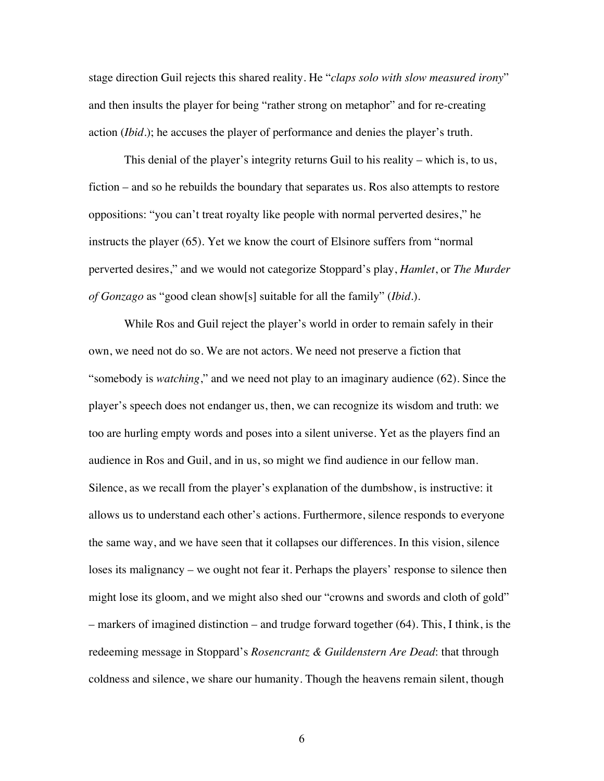stage direction Guil rejects this shared reality. He "*claps solo with slow measured irony*" and then insults the player for being "rather strong on metaphor" and for re-creating action (*Ibid.*); he accuses the player of performance and denies the player's truth.

This denial of the player's integrity returns Guil to his reality – which is, to us, fiction – and so he rebuilds the boundary that separates us. Ros also attempts to restore oppositions: "you can't treat royalty like people with normal perverted desires," he instructs the player (65). Yet we know the court of Elsinore suffers from "normal perverted desires," and we would not categorize Stoppard's play, *Hamlet*, or *The Murder of Gonzago* as "good clean show[s] suitable for all the family" (*Ibid.*).

While Ros and Guil reject the player's world in order to remain safely in their own, we need not do so. We are not actors. We need not preserve a fiction that "somebody is *watching*," and we need not play to an imaginary audience (62). Since the player's speech does not endanger us, then, we can recognize its wisdom and truth: we too are hurling empty words and poses into a silent universe. Yet as the players find an audience in Ros and Guil, and in us, so might we find audience in our fellow man. Silence, as we recall from the player's explanation of the dumbshow, is instructive: it allows us to understand each other's actions. Furthermore, silence responds to everyone the same way, and we have seen that it collapses our differences. In this vision, silence loses its malignancy – we ought not fear it. Perhaps the players' response to silence then might lose its gloom, and we might also shed our "crowns and swords and cloth of gold" – markers of imagined distinction – and trudge forward together (64). This, I think, is the redeeming message in Stoppard's *Rosencrantz & Guildenstern Are Dead*: that through coldness and silence, we share our humanity. Though the heavens remain silent, though

6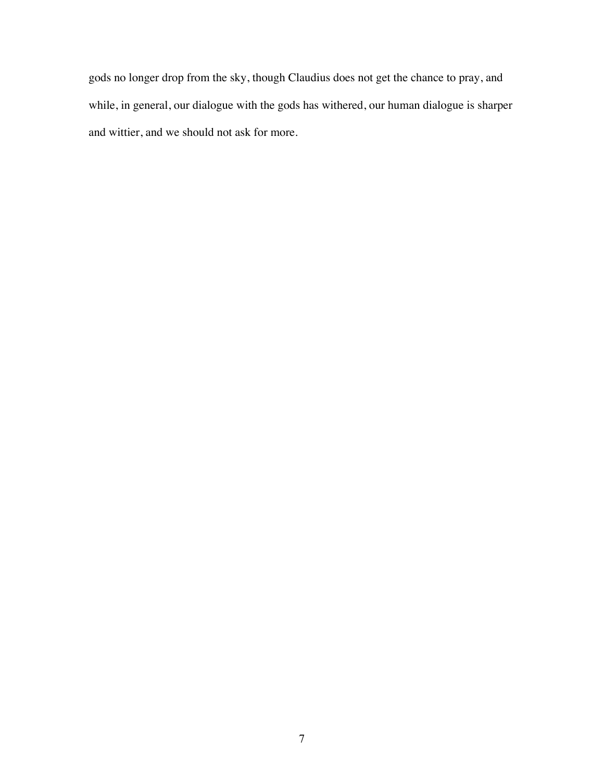gods no longer drop from the sky, though Claudius does not get the chance to pray, and while, in general, our dialogue with the gods has withered, our human dialogue is sharper and wittier, and we should not ask for more.